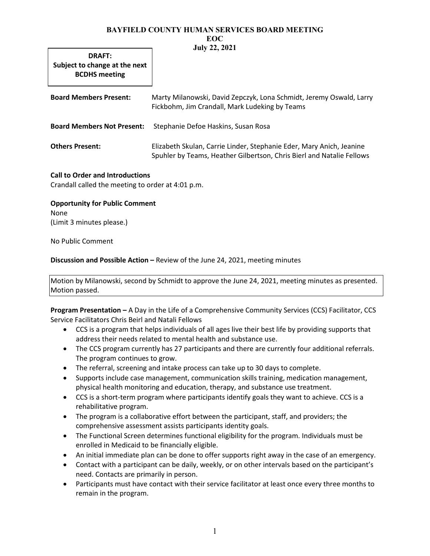#### BAYFIELD COUNTY HUMAN SERVICES BOARD MEETING EOC July 22, 2021

DRAFT: Subject to change at the next BCDHS meeting

| <b>Board Members Present:</b>     | Marty Milanowski, David Zepczyk, Lona Schmidt, Jeremy Oswald, Larry<br>Fickbohm, Jim Crandall, Mark Ludeking by Teams                         |
|-----------------------------------|-----------------------------------------------------------------------------------------------------------------------------------------------|
| <b>Board Members Not Present:</b> | Stephanie Defoe Haskins, Susan Rosa                                                                                                           |
| <b>Others Present:</b>            | Elizabeth Skulan, Carrie Linder, Stephanie Eder, Mary Anich, Jeanine<br>Spuhler by Teams, Heather Gilbertson, Chris Bierl and Natalie Fellows |

## Call to Order and Introductions

Crandall called the meeting to order at 4:01 p.m.

Opportunity for Public Comment None (Limit 3 minutes please.)

No Public Comment

# Discussion and Possible Action – Review of the June 24, 2021, meeting minutes

Motion by Milanowski, second by Schmidt to approve the June 24, 2021, meeting minutes as presented. Motion passed.

Program Presentation – A Day in the Life of a Comprehensive Community Services (CCS) Facilitator, CCS Service Facilitators Chris Beirl and Natali Fellows

- CCS is a program that helps individuals of all ages live their best life by providing supports that address their needs related to mental health and substance use.
- The CCS program currently has 27 participants and there are currently four additional referrals. The program continues to grow.
- The referral, screening and intake process can take up to 30 days to complete.
- Supports include case management, communication skills training, medication management, physical health monitoring and education, therapy, and substance use treatment.
- CCS is a short-term program where participants identify goals they want to achieve. CCS is a rehabilitative program.
- The program is a collaborative effort between the participant, staff, and providers; the comprehensive assessment assists participants identity goals.
- The Functional Screen determines functional eligibility for the program. Individuals must be enrolled in Medicaid to be financially eligible.
- An initial immediate plan can be done to offer supports right away in the case of an emergency.
- Contact with a participant can be daily, weekly, or on other intervals based on the participant's need. Contacts are primarily in person.
- Participants must have contact with their service facilitator at least once every three months to remain in the program.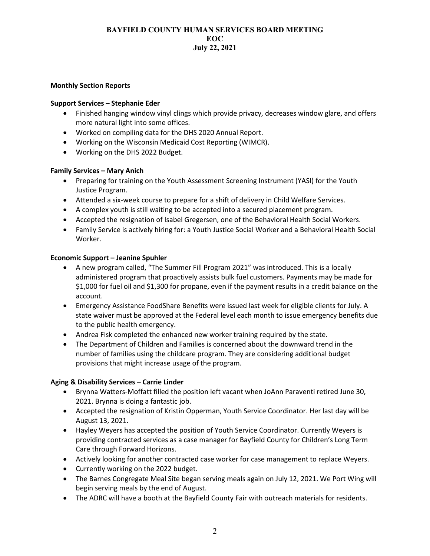## BAYFIELD COUNTY HUMAN SERVICES BOARD MEETING EOC July 22, 2021

## Monthly Section Reports

# Support Services – Stephanie Eder

- Finished hanging window vinyl clings which provide privacy, decreases window glare, and offers more natural light into some offices.
- Worked on compiling data for the DHS 2020 Annual Report.
- Working on the Wisconsin Medicaid Cost Reporting (WIMCR).
- Working on the DHS 2022 Budget.

# Family Services – Mary Anich

- Preparing for training on the Youth Assessment Screening Instrument (YASI) for the Youth Justice Program.
- Attended a six-week course to prepare for a shift of delivery in Child Welfare Services.
- A complex youth is still waiting to be accepted into a secured placement program.
- Accepted the resignation of Isabel Gregersen, one of the Behavioral Health Social Workers.
- Family Service is actively hiring for: a Youth Justice Social Worker and a Behavioral Health Social Worker.

# Economic Support – Jeanine Spuhler

- A new program called, "The Summer Fill Program 2021" was introduced. This is a locally administered program that proactively assists bulk fuel customers. Payments may be made for \$1,000 for fuel oil and \$1,300 for propane, even if the payment results in a credit balance on the account.
- Emergency Assistance FoodShare Benefits were issued last week for eligible clients for July. A state waiver must be approved at the Federal level each month to issue emergency benefits due to the public health emergency.
- Andrea Fisk completed the enhanced new worker training required by the state.
- The Department of Children and Families is concerned about the downward trend in the number of families using the childcare program. They are considering additional budget provisions that might increase usage of the program.

## Aging & Disability Services – Carrie Linder

- Brynna Watters-Moffatt filled the position left vacant when JoAnn Paraventi retired June 30, 2021. Brynna is doing a fantastic job.
- Accepted the resignation of Kristin Opperman, Youth Service Coordinator. Her last day will be August 13, 2021.
- Hayley Weyers has accepted the position of Youth Service Coordinator. Currently Weyers is providing contracted services as a case manager for Bayfield County for Children's Long Term Care through Forward Horizons.
- Actively looking for another contracted case worker for case management to replace Weyers.
- Currently working on the 2022 budget.
- The Barnes Congregate Meal Site began serving meals again on July 12, 2021. We Port Wing will begin serving meals by the end of August.
- The ADRC will have a booth at the Bayfield County Fair with outreach materials for residents.